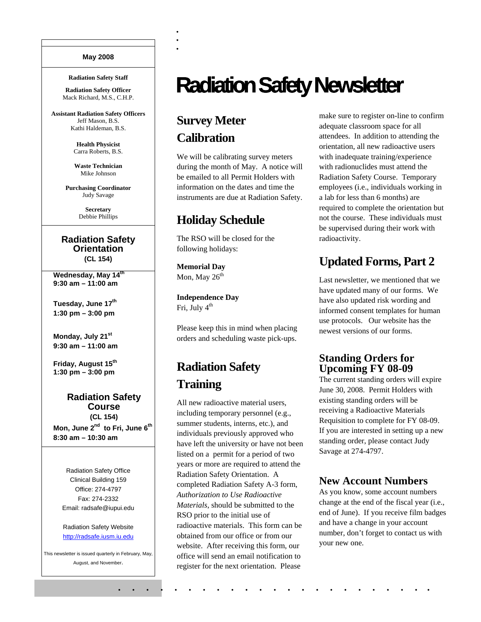#### **May 2008**

#### **Radiation Safety Staff**

**Radiation Safety Officer**  Mack Richard, M.S., C.H.P.

**Assistant Radiation Safety Officers**  Jeff Mason, B.S. Kathi Haldeman, B.S.

> **Health Physicist**  Carra Roberts, B.S.

**Waste Technician**  Mike Johnson

**Purchasing Coordinator**  Judy Savage

> **Secretary**  Debbie Phillips

#### **Radiation Safety Orientation (CL 154)**

**Wednesday, May 14th 9:30 am – 11:00 am** 

Tuesday, June 17<sup>th</sup> **1:30 pm – 3:00 pm** 

**Monday, July 21st 9:30 am – 11:00 am** 

Friday, August 15<sup>th</sup> **1:30 pm – 3:00 pm** 

#### **Radiation Safety Course (CL 154)**

Mon, June 2<sup>nd</sup> to Fri, June 6<sup>th</sup> **8:30 am – 10:30 am** 

Radiation Safety Office Clinical Building 159 Office: 274-4797 Fax: 274-2332 Email: radsafe@iupui.edu

Radiation Safety Website http://radsafe.iusm.iu.edu

This newsletter is issued quarterly in February, May, August, and November.

# **Radiation Safety Newsletter**

## **Survey Meter Calibration**

. .<br>. .<br>.

We will be calibrating survey meters during the month of May. A notice will be emailed to all Permit Holders with information on the dates and time the instruments are due at Radiation Safety.

## **Holiday Schedule**

The RSO will be closed for the following holidays:

**Memorial Day**  Mon, May  $26<sup>th</sup>$ 

**Independence Day**  Fri, July  $4<sup>th</sup>$ 

Please keep this in mind when placing orders and scheduling waste pick-ups.

# **Radiation Safety Training**

All new radioactive material users, including temporary personnel (e.g., summer students, interns, etc.), and individuals previously approved who have left the university or have not been listed on a permit for a period of two years or more are required to attend the Radiation Safety Orientation. A completed Radiation Safety A-3 form, *Authorization to Use Radioactive Materials*, should be submitted to the RSO prior to the initial use of radioactive materials. This form can be obtained from our office or from our website. After receiving this form, our office will send an email notification to register for the next orientation. Please

. . . . . . . . . . . . . . . . . . . . . . .

make sure to register on-line to confirm adequate classroom space for all attendees. In addition to attending the orientation, all new radioactive users with inadequate training/experience with radionuclides must attend the Radiation Safety Course. Temporary employees (i.e., individuals working in a lab for less than 6 months) are required to complete the orientation but not the course. These individuals must be supervised during their work with radioactivity.

## **Updated Forms, Part 2**

Last newsletter, we mentioned that we have updated many of our forms. We have also updated risk wording and informed consent templates for human use protocols. Our website has the newest versions of our forms.

## **Standing Orders for Upcoming FY 08-09**

The current standing orders will expire June 30, 2008. Permit Holders with existing standing orders will be receiving a Radioactive Materials Requisition to complete for FY 08-09. If you are interested in setting up a new standing order, please contact Judy Savage at 274-4797.

### **New Account Numbers**

As you know, some account numbers change at the end of the fiscal year (i.e., end of June). If you receive film badges and have a change in your account number, don't forget to contact us with your new one.